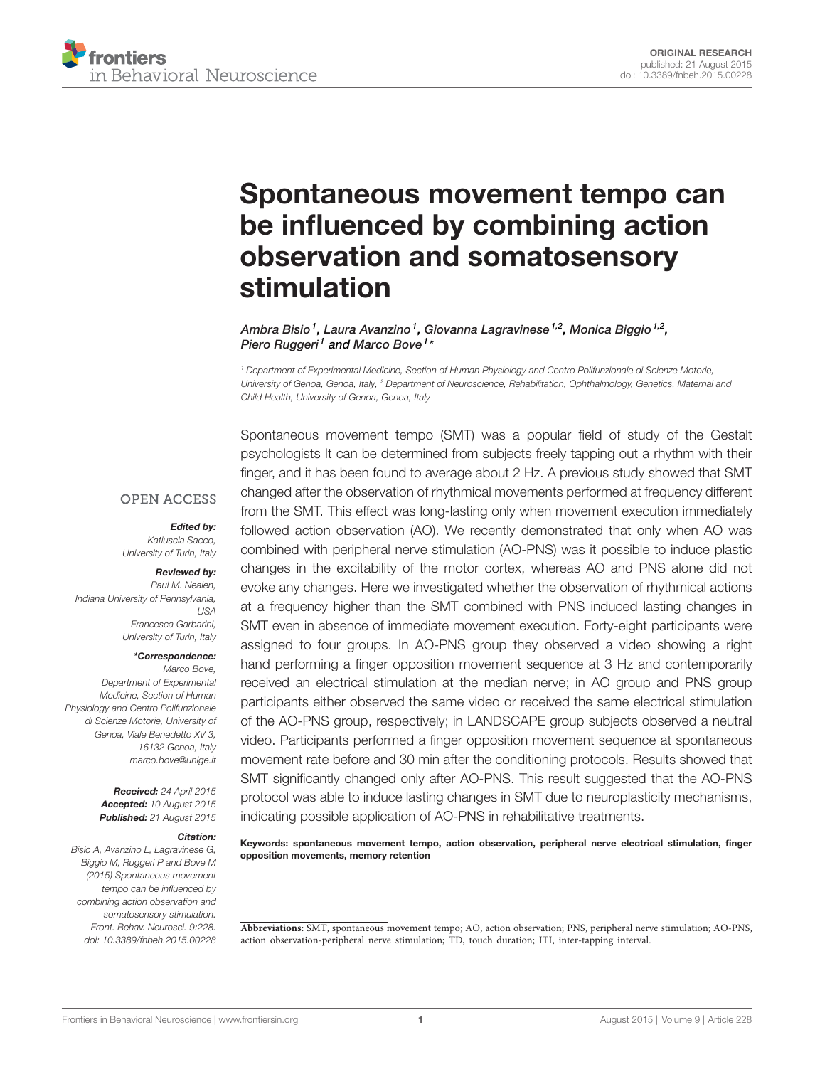

# [Spontaneous movement tempo can](http://journal.frontiersin.org/article/10.3389/fnbeh.2015.00228/abstract) [be influenced by combining action](http://journal.frontiersin.org/article/10.3389/fnbeh.2015.00228/abstract) [observation and somatosensory](http://journal.frontiersin.org/article/10.3389/fnbeh.2015.00228/abstract) [stimulation](http://journal.frontiersin.org/article/10.3389/fnbeh.2015.00228/abstract)

[Ambra Bisio](http://loop.frontiersin.org/people/200928) <sup>1</sup>, [Laura Avanzino](http://loop.frontiersin.org/people/141068) <sup>1</sup>, [Giovanna Lagravinese](http://loop.frontiersin.org/people/263029) <sup>1,2</sup>, [Monica Biggio](http://loop.frontiersin.org/people/232183) <sup>1,2</sup>, [Piero Ruggeri](http://loop.frontiersin.org/people/18219)<sup>1</sup> and [Marco Bove](http://loop.frontiersin.org/people/1390)<sup>1</sup>\*

<sup>1</sup> Department of Experimental Medicine, Section of Human Physiology and Centro Polifunzionale di Scienze Motorie, University of Genoa, Genoa, Italy, <sup>2</sup> Department of Neuroscience, Rehabilitation, Ophthalmology, Genetics, Maternal and Child Health, University of Genoa, Genoa, Italy

#### **OPEN ACCESS**

#### Edited by:

Katiuscia Sacco, University of Turin, Italy

# Reviewed by:

Paul M. Nealen, Indiana University of Pennsylvania,  $IISA$ Francesca Garbarini, University of Turin, Italy

#### \*Correspondence:

Marco Bove, Department of Experimental Medicine, Section of Human Physiology and Centro Polifunzionale di Scienze Motorie, University of Genoa, Viale Benedetto XV 3, 16132 Genoa, Italy [marco.bove@unige.it](mailto:marco.bove@unige.it)

> Received: 24 April 2015 Accepted: 10 August 2015 Published: 21 August 2015

#### Citation:

Bisio A, Avanzino L, Lagravinese G, Biggio M, Ruggeri P and Bove M (2015) Spontaneous movement tempo can be influenced by combining action observation and somatosensory stimulation. Front. Behav. Neurosci. 9:228. [doi: 10.3389/fnbeh.2015.00228](http://dx.doi.org/10.3389/fnbeh.2015.00228) Spontaneous movement tempo (SMT) was a popular field of study of the Gestalt psychologists It can be determined from subjects freely tapping out a rhythm with their finger, and it has been found to average about 2 Hz. A previous study showed that SMT changed after the observation of rhythmical movements performed at frequency different from the SMT. This effect was long-lasting only when movement execution immediately followed action observation (AO). We recently demonstrated that only when AO was combined with peripheral nerve stimulation (AO-PNS) was it possible to induce plastic changes in the excitability of the motor cortex, whereas AO and PNS alone did not evoke any changes. Here we investigated whether the observation of rhythmical actions at a frequency higher than the SMT combined with PNS induced lasting changes in SMT even in absence of immediate movement execution. Forty-eight participants were assigned to four groups. In AO-PNS group they observed a video showing a right hand performing a finger opposition movement sequence at 3 Hz and contemporarily received an electrical stimulation at the median nerve; in AO group and PNS group participants either observed the same video or received the same electrical stimulation of the AO-PNS group, respectively; in LANDSCAPE group subjects observed a neutral video. Participants performed a finger opposition movement sequence at spontaneous movement rate before and 30 min after the conditioning protocols. Results showed that SMT significantly changed only after AO-PNS. This result suggested that the AO-PNS protocol was able to induce lasting changes in SMT due to neuroplasticity mechanisms, indicating possible application of AO-PNS in rehabilitative treatments.

Keywords: spontaneous movement tempo, action observation, peripheral nerve electrical stimulation, finger opposition movements, memory retention

**Abbreviations:** SMT, spontaneous movement tempo; AO, action observation; PNS, peripheral nerve stimulation; AO-PNS, action observation-peripheral nerve stimulation; TD, touch duration; ITI, inter-tapping interval.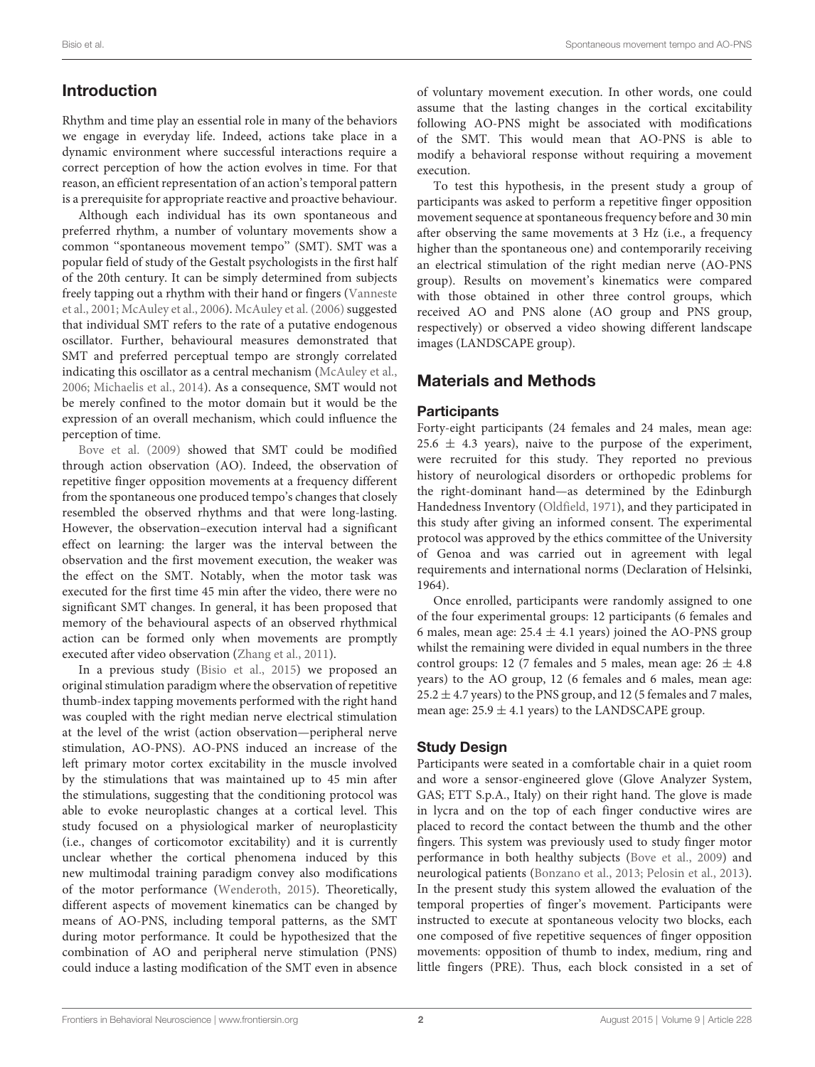# Introduction

Rhythm and time play an essential role in many of the behaviors we engage in everyday life. Indeed, actions take place in a dynamic environment where successful interactions require a correct perception of how the action evolves in time. For that reason, an efficient representation of an action's temporal pattern is a prerequisite for appropriate reactive and proactive behaviour.

Although each individual has its own spontaneous and preferred rhythm, a number of voluntary movements show a common ''spontaneous movement tempo'' (SMT). SMT was a popular field of study of the Gestalt psychologists in the first half of the 20th century. It can be simply determined from subjects freely tapping out a rhythm with their hand or fingers [\(Vanneste](#page-5-0) [et al.,](#page-5-0) [2001;](#page-5-0) [McAuley et al.,](#page-5-1) [2006\)](#page-5-1). [McAuley et al.](#page-5-1) [\(2006\)](#page-5-1) suggested that individual SMT refers to the rate of a putative endogenous oscillator. Further, behavioural measures demonstrated that SMT and preferred perceptual tempo are strongly correlated indicating this oscillator as a central mechanism [\(McAuley et al.,](#page-5-1) [2006;](#page-5-1) [Michaelis et al.,](#page-5-2) [2014\)](#page-5-2). As a consequence, SMT would not be merely confined to the motor domain but it would be the expression of an overall mechanism, which could influence the perception of time.

[Bove et al.](#page-5-3) [\(2009\)](#page-5-3) showed that SMT could be modified through action observation (AO). Indeed, the observation of repetitive finger opposition movements at a frequency different from the spontaneous one produced tempo's changes that closely resembled the observed rhythms and that were long-lasting. However, the observation–execution interval had a significant effect on learning: the larger was the interval between the observation and the first movement execution, the weaker was the effect on the SMT. Notably, when the motor task was executed for the first time 45 min after the video, there were no significant SMT changes. In general, it has been proposed that memory of the behavioural aspects of an observed rhythmical action can be formed only when movements are promptly executed after video observation [\(Zhang et al.,](#page-6-0) [2011\)](#page-6-0).

In a previous study [\(Bisio et al.,](#page-5-4) [2015\)](#page-5-4) we proposed an original stimulation paradigm where the observation of repetitive thumb-index tapping movements performed with the right hand was coupled with the right median nerve electrical stimulation at the level of the wrist (action observation—peripheral nerve stimulation, AO-PNS). AO-PNS induced an increase of the left primary motor cortex excitability in the muscle involved by the stimulations that was maintained up to 45 min after the stimulations, suggesting that the conditioning protocol was able to evoke neuroplastic changes at a cortical level. This study focused on a physiological marker of neuroplasticity (i.e., changes of corticomotor excitability) and it is currently unclear whether the cortical phenomena induced by this new multimodal training paradigm convey also modifications of the motor performance [\(Wenderoth,](#page-6-1) [2015\)](#page-6-1). Theoretically, different aspects of movement kinematics can be changed by means of AO-PNS, including temporal patterns, as the SMT during motor performance. It could be hypothesized that the combination of AO and peripheral nerve stimulation (PNS) could induce a lasting modification of the SMT even in absence of voluntary movement execution. In other words, one could assume that the lasting changes in the cortical excitability following AO-PNS might be associated with modifications of the SMT. This would mean that AO-PNS is able to modify a behavioral response without requiring a movement execution.

To test this hypothesis, in the present study a group of participants was asked to perform a repetitive finger opposition movement sequence at spontaneous frequency before and 30 min after observing the same movements at 3 Hz (i.e., a frequency higher than the spontaneous one) and contemporarily receiving an electrical stimulation of the right median nerve (AO-PNS group). Results on movement's kinematics were compared with those obtained in other three control groups, which received AO and PNS alone (AO group and PNS group, respectively) or observed a video showing different landscape images (LANDSCAPE group).

# Materials and Methods

## **Participants**

Forty-eight participants (24 females and 24 males, mean age:  $25.6 \pm 4.3$  years), naive to the purpose of the experiment, were recruited for this study. They reported no previous history of neurological disorders or orthopedic problems for the right-dominant hand—as determined by the Edinburgh Handedness Inventory [\(Oldfield,](#page-5-5) [1971\)](#page-5-5), and they participated in this study after giving an informed consent. The experimental protocol was approved by the ethics committee of the University of Genoa and was carried out in agreement with legal requirements and international norms (Declaration of Helsinki, 1964).

Once enrolled, participants were randomly assigned to one of the four experimental groups: 12 participants (6 females and 6 males, mean age:  $25.4 \pm 4.1$  years) joined the AO-PNS group whilst the remaining were divided in equal numbers in the three control groups: 12 (7 females and 5 males, mean age:  $26 \pm 4.8$ years) to the AO group, 12 (6 females and 6 males, mean age:  $25.2 \pm 4.7$  years) to the PNS group, and 12 (5 females and 7 males, mean age:  $25.9 \pm 4.1$  years) to the LANDSCAPE group.

## Study Design

Participants were seated in a comfortable chair in a quiet room and wore a sensor-engineered glove (Glove Analyzer System, GAS; ETT S.p.A., Italy) on their right hand. The glove is made in lycra and on the top of each finger conductive wires are placed to record the contact between the thumb and the other fingers. This system was previously used to study finger motor performance in both healthy subjects [\(Bove et al.,](#page-5-3) [2009\)](#page-5-3) and neurological patients [\(Bonzano et al.,](#page-5-6) [2013;](#page-5-6) [Pelosin et al.,](#page-5-7) [2013\)](#page-5-7). In the present study this system allowed the evaluation of the temporal properties of finger's movement. Participants were instructed to execute at spontaneous velocity two blocks, each one composed of five repetitive sequences of finger opposition movements: opposition of thumb to index, medium, ring and little fingers (PRE). Thus, each block consisted in a set of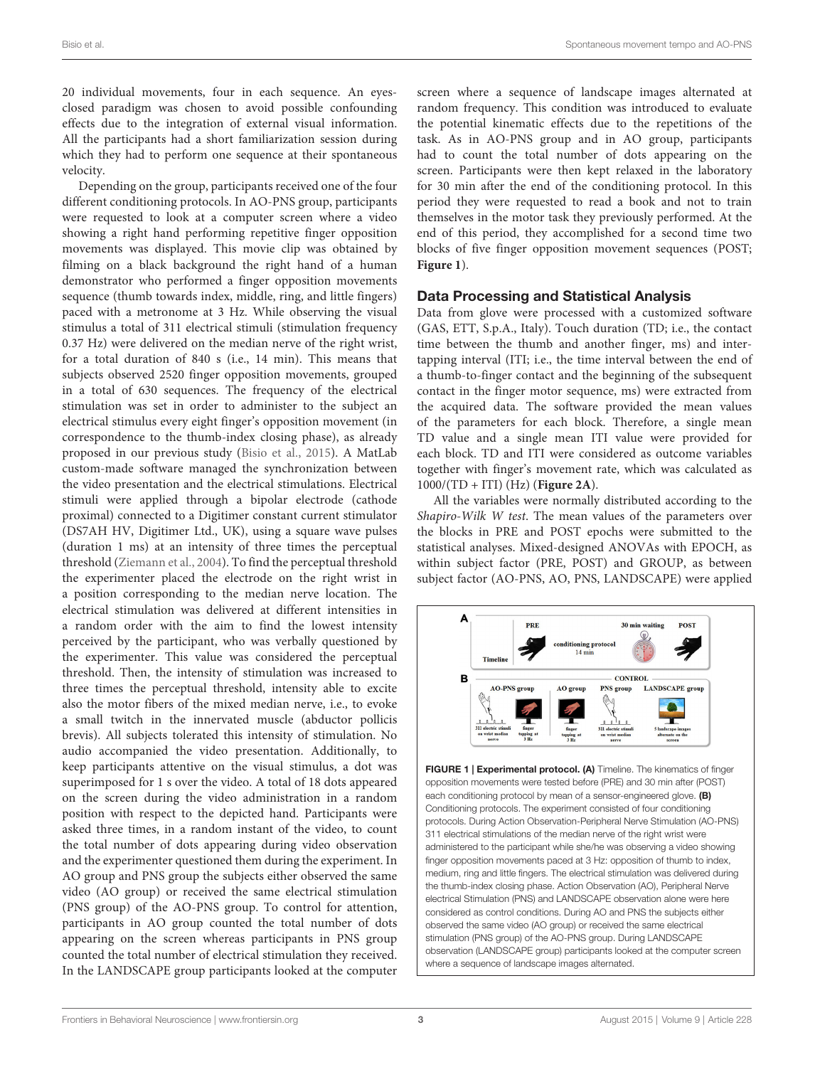20 individual movements, four in each sequence. An eyesclosed paradigm was chosen to avoid possible confounding effects due to the integration of external visual information. All the participants had a short familiarization session during which they had to perform one sequence at their spontaneous velocity.

Depending on the group, participants received one of the four different conditioning protocols. In AO-PNS group, participants were requested to look at a computer screen where a video showing a right hand performing repetitive finger opposition movements was displayed. This movie clip was obtained by filming on a black background the right hand of a human demonstrator who performed a finger opposition movements sequence (thumb towards index, middle, ring, and little fingers) paced with a metronome at 3 Hz. While observing the visual stimulus a total of 311 electrical stimuli (stimulation frequency 0.37 Hz) were delivered on the median nerve of the right wrist, for a total duration of 840 s (i.e., 14 min). This means that subjects observed 2520 finger opposition movements, grouped in a total of 630 sequences. The frequency of the electrical stimulation was set in order to administer to the subject an electrical stimulus every eight finger's opposition movement (in correspondence to the thumb-index closing phase), as already proposed in our previous study [\(Bisio et al.,](#page-5-4) [2015\)](#page-5-4). A MatLab custom-made software managed the synchronization between the video presentation and the electrical stimulations. Electrical stimuli were applied through a bipolar electrode (cathode proximal) connected to a Digitimer constant current stimulator (DS7AH HV, Digitimer Ltd., UK), using a square wave pulses (duration 1 ms) at an intensity of three times the perceptual threshold [\(Ziemann et al.,](#page-6-2) [2004\)](#page-6-2). To find the perceptual threshold the experimenter placed the electrode on the right wrist in a position corresponding to the median nerve location. The electrical stimulation was delivered at different intensities in a random order with the aim to find the lowest intensity perceived by the participant, who was verbally questioned by the experimenter. This value was considered the perceptual threshold. Then, the intensity of stimulation was increased to three times the perceptual threshold, intensity able to excite also the motor fibers of the mixed median nerve, i.e., to evoke a small twitch in the innervated muscle (abductor pollicis brevis). All subjects tolerated this intensity of stimulation. No audio accompanied the video presentation. Additionally, to keep participants attentive on the visual stimulus, a dot was superimposed for 1 s over the video. A total of 18 dots appeared on the screen during the video administration in a random position with respect to the depicted hand. Participants were asked three times, in a random instant of the video, to count the total number of dots appearing during video observation and the experimenter questioned them during the experiment. In AO group and PNS group the subjects either observed the same video (AO group) or received the same electrical stimulation (PNS group) of the AO-PNS group. To control for attention, participants in AO group counted the total number of dots appearing on the screen whereas participants in PNS group counted the total number of electrical stimulation they received. In the LANDSCAPE group participants looked at the computer

screen where a sequence of landscape images alternated at random frequency. This condition was introduced to evaluate the potential kinematic effects due to the repetitions of the task. As in AO-PNS group and in AO group, participants had to count the total number of dots appearing on the screen. Participants were then kept relaxed in the laboratory for 30 min after the end of the conditioning protocol. In this period they were requested to read a book and not to train themselves in the motor task they previously performed. At the end of this period, they accomplished for a second time two blocks of five finger opposition movement sequences (POST; **[Figure 1](#page-2-0)**).

#### Data Processing and Statistical Analysis

Data from glove were processed with a customized software (GAS, ETT, S.p.A., Italy). Touch duration (TD; i.e., the contact time between the thumb and another finger, ms) and intertapping interval (ITI; i.e., the time interval between the end of a thumb-to-finger contact and the beginning of the subsequent contact in the finger motor sequence, ms) were extracted from the acquired data. The software provided the mean values of the parameters for each block. Therefore, a single mean TD value and a single mean ITI value were provided for each block. TD and ITI were considered as outcome variables together with finger's movement rate, which was calculated as 1000/(TD + ITI) (Hz) (**[Figure 2A](#page-3-0)**).

All the variables were normally distributed according to the Shapiro-Wilk W test. The mean values of the parameters over the blocks in PRE and POST epochs were submitted to the statistical analyses. Mixed-designed ANOVAs with EPOCH, as within subject factor (PRE, POST) and GROUP, as between subject factor (AO-PNS, AO, PNS, LANDSCAPE) were applied



<span id="page-2-0"></span>FIGURE 1 | Experimental protocol. (A) Timeline. The kinematics of finger opposition movements were tested before (PRE) and 30 min after (POST) each conditioning protocol by mean of a sensor-engineered glove. (B) Conditioning protocols. The experiment consisted of four conditioning protocols. During Action Observation-Peripheral Nerve Stimulation (AO-PNS) 311 electrical stimulations of the median nerve of the right wrist were administered to the participant while she/he was observing a video showing finger opposition movements paced at 3 Hz: opposition of thumb to index, medium, ring and little fingers. The electrical stimulation was delivered during the thumb-index closing phase. Action Observation (AO), Peripheral Nerve electrical Stimulation (PNS) and LANDSCAPE observation alone were here considered as control conditions. During AO and PNS the subjects either observed the same video (AO group) or received the same electrical stimulation (PNS group) of the AO-PNS group. During LANDSCAPE observation (LANDSCAPE group) participants looked at the computer screen where a sequence of landscape images alternated.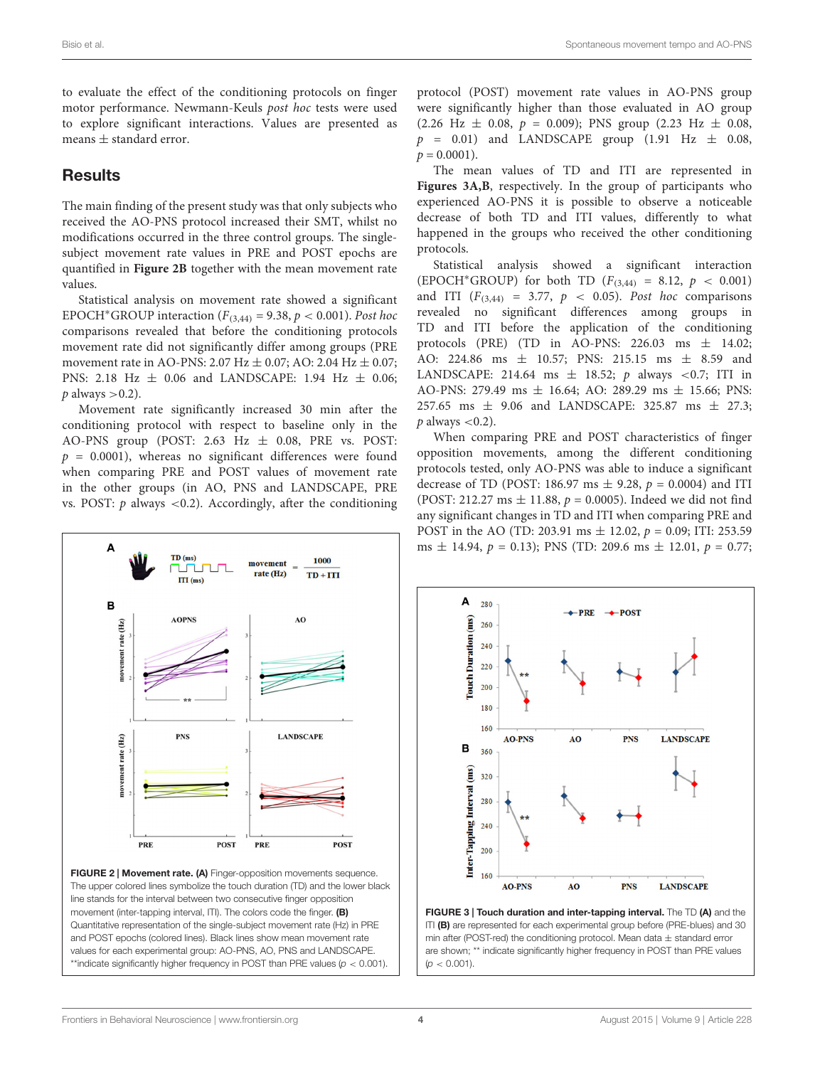to evaluate the effect of the conditioning protocols on finger motor performance. Newmann-Keuls post hoc tests were used to explore significant interactions. Values are presented as means  $\pm$  standard error.

## **Results**

The main finding of the present study was that only subjects who received the AO-PNS protocol increased their SMT, whilst no modifications occurred in the three control groups. The singlesubject movement rate values in PRE and POST epochs are quantified in **[Figure 2B](#page-3-0)** together with the mean movement rate values.

Statistical analysis on movement rate showed a significant EPOCH<sup>\*</sup>GROUP interaction ( $F_{(3,44)} = 9.38$ ,  $p < 0.001$ ). Post hoc comparisons revealed that before the conditioning protocols movement rate did not significantly differ among groups (PRE movement rate in AO-PNS: 2.07 Hz  $\pm$  0.07; AO: 2.04 Hz  $\pm$  0.07; PNS: 2.18 Hz  $\pm$  0.06 and LANDSCAPE: 1.94 Hz  $\pm$  0.06;  $p$  always  $>$  0.2).

Movement rate significantly increased 30 min after the conditioning protocol with respect to baseline only in the AO-PNS group (POST: 2.63 Hz  $\pm$  0.08, PRE vs. POST:  $p = 0.0001$ ), whereas no significant differences were found when comparing PRE and POST values of movement rate in the other groups (in AO, PNS and LANDSCAPE, PRE vs. POST:  $p$  always <0.2). Accordingly, after the conditioning



<span id="page-3-0"></span>FIGURE 2 | Movement rate. (A) Finger-opposition movements sequence. The upper colored lines symbolize the touch duration (TD) and the lower black line stands for the interval between two consecutive finger opposition movement (inter-tapping interval, ITI). The colors code the finger. (B) Quantitative representation of the single-subject movement rate (Hz) in PRE and POST epochs (colored lines). Black lines show mean movement rate values for each experimental group: AO-PNS, AO, PNS and LANDSCAPE. \*\*indicate significantly higher frequency in POST than PRE values ( $p < 0.001$ ).

protocol (POST) movement rate values in AO-PNS group were significantly higher than those evaluated in AO group  $(2.26 \text{ Hz } \pm 0.08, p = 0.009)$ ; PNS group  $(2.23 \text{ Hz } \pm 0.08, p = 0.009)$  $p = 0.01$ ) and LANDSCAPE group (1.91 Hz  $\pm$  0.08,  $p = 0.0001$ ).

The mean values of TD and ITI are represented in **[Figures 3A,B](#page-3-1)**, respectively. In the group of participants who experienced AO-PNS it is possible to observe a noticeable decrease of both TD and ITI values, differently to what happened in the groups who received the other conditioning protocols.

Statistical analysis showed a significant interaction (EPOCH<sup>\*</sup>GROUP) for both TD ( $F_{(3,44)} = 8.12$ ,  $p < 0.001$ ) and ITI  $(F_{(3,44)} = 3.77, p < 0.05)$ . Post hoc comparisons revealed no significant differences among groups in TD and ITI before the application of the conditioning protocols (PRE) (TD in AO-PNS:  $226.03$  ms  $\pm$  14.02; AO: 224.86 ms ± 10.57; PNS: 215.15 ms ± 8.59 and LANDSCAPE: 214.64 ms  $\pm$  18.52; p always <0.7; ITI in AO-PNS: 279.49 ms  $\pm$  16.64; AO: 289.29 ms  $\pm$  15.66; PNS: 257.65 ms ± 9.06 and LANDSCAPE: 325.87 ms ± 27.3;  $p$  always  $< 0.2$ ).

When comparing PRE and POST characteristics of finger opposition movements, among the different conditioning protocols tested, only AO-PNS was able to induce a significant decrease of TD (POST: 186.97 ms  $\pm$  9.28,  $p = 0.0004$ ) and ITI (POST: 212.27 ms  $\pm$  11.88,  $p = 0.0005$ ). Indeed we did not find any significant changes in TD and ITI when comparing PRE and POST in the AO (TD: 203.91 ms  $\pm$  12.02,  $p = 0.09$ ; ITI: 253.59 ms  $\pm$  14.94,  $p = 0.13$ ); PNS (TD: 209.6 ms  $\pm$  12.01,  $p = 0.77$ ;



<span id="page-3-1"></span>FIGURE 3 | Touch duration and inter-tapping interval. The TD (A) and the ITI (B) are represented for each experimental group before (PRE-blues) and 30 min after (POST-red) the conditioning protocol. Mean data  $\pm$  standard error are shown; \*\* indicate significantly higher frequency in POST than PRE values  $(p < 0.001)$ .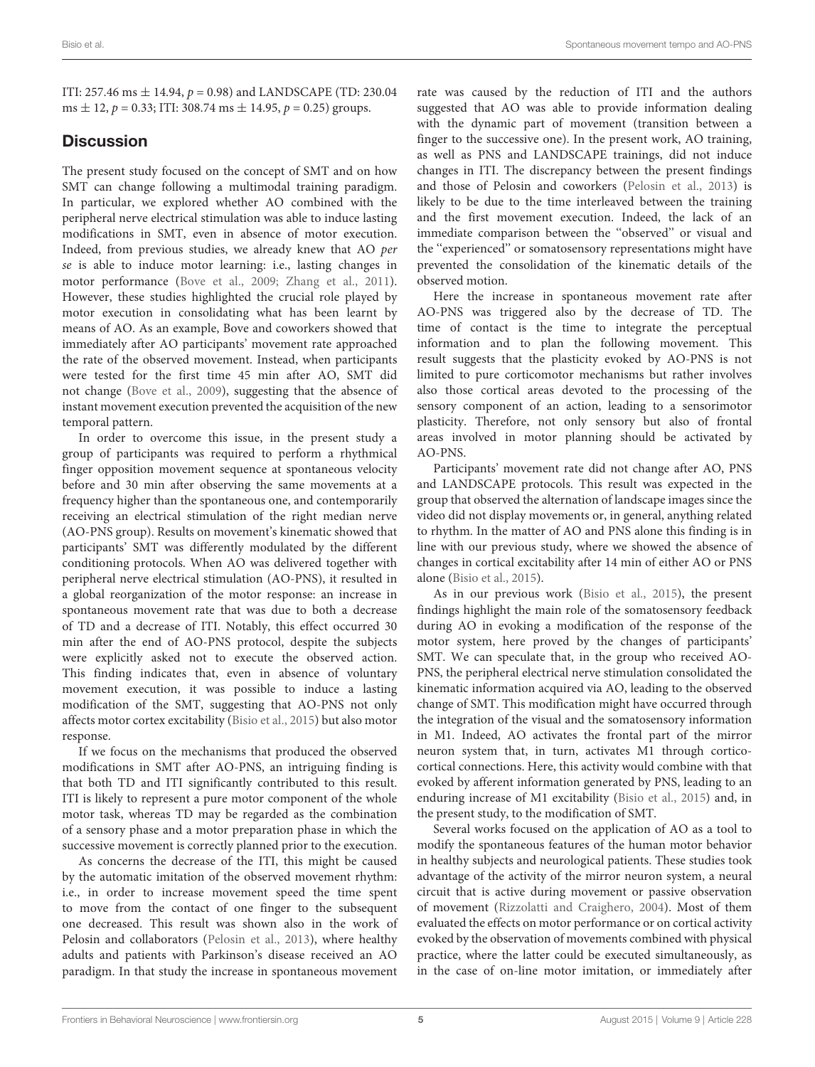ITI: 257.46 ms  $\pm$  14.94,  $p = 0.98$ ) and LANDSCAPE (TD: 230.04 ms  $\pm$  12,  $p = 0.33$ ; ITI: 308.74 ms  $\pm$  14.95,  $p = 0.25$ ) groups.

# **Discussion**

The present study focused on the concept of SMT and on how SMT can change following a multimodal training paradigm. In particular, we explored whether AO combined with the peripheral nerve electrical stimulation was able to induce lasting modifications in SMT, even in absence of motor execution. Indeed, from previous studies, we already knew that AO per se is able to induce motor learning: i.e., lasting changes in motor performance [\(Bove et al.,](#page-5-3) [2009;](#page-5-3) [Zhang et al.,](#page-6-0) [2011\)](#page-6-0). However, these studies highlighted the crucial role played by motor execution in consolidating what has been learnt by means of AO. As an example, Bove and coworkers showed that immediately after AO participants' movement rate approached the rate of the observed movement. Instead, when participants were tested for the first time 45 min after AO, SMT did not change [\(Bove et al.,](#page-5-3) [2009\)](#page-5-3), suggesting that the absence of instant movement execution prevented the acquisition of the new temporal pattern.

In order to overcome this issue, in the present study a group of participants was required to perform a rhythmical finger opposition movement sequence at spontaneous velocity before and 30 min after observing the same movements at a frequency higher than the spontaneous one, and contemporarily receiving an electrical stimulation of the right median nerve (AO-PNS group). Results on movement's kinematic showed that participants' SMT was differently modulated by the different conditioning protocols. When AO was delivered together with peripheral nerve electrical stimulation (AO-PNS), it resulted in a global reorganization of the motor response: an increase in spontaneous movement rate that was due to both a decrease of TD and a decrease of ITI. Notably, this effect occurred 30 min after the end of AO-PNS protocol, despite the subjects were explicitly asked not to execute the observed action. This finding indicates that, even in absence of voluntary movement execution, it was possible to induce a lasting modification of the SMT, suggesting that AO-PNS not only affects motor cortex excitability [\(Bisio et al.,](#page-5-4) [2015\)](#page-5-4) but also motor response.

If we focus on the mechanisms that produced the observed modifications in SMT after AO-PNS, an intriguing finding is that both TD and ITI significantly contributed to this result. ITI is likely to represent a pure motor component of the whole motor task, whereas TD may be regarded as the combination of a sensory phase and a motor preparation phase in which the successive movement is correctly planned prior to the execution.

As concerns the decrease of the ITI, this might be caused by the automatic imitation of the observed movement rhythm: i.e., in order to increase movement speed the time spent to move from the contact of one finger to the subsequent one decreased. This result was shown also in the work of Pelosin and collaborators [\(Pelosin et al.,](#page-5-7) [2013\)](#page-5-7), where healthy adults and patients with Parkinson's disease received an AO paradigm. In that study the increase in spontaneous movement

rate was caused by the reduction of ITI and the authors suggested that AO was able to provide information dealing with the dynamic part of movement (transition between a finger to the successive one). In the present work, AO training, as well as PNS and LANDSCAPE trainings, did not induce changes in ITI. The discrepancy between the present findings and those of Pelosin and coworkers [\(Pelosin et al.,](#page-5-7) [2013\)](#page-5-7) is likely to be due to the time interleaved between the training and the first movement execution. Indeed, the lack of an immediate comparison between the ''observed'' or visual and the ''experienced'' or somatosensory representations might have prevented the consolidation of the kinematic details of the observed motion.

Here the increase in spontaneous movement rate after AO-PNS was triggered also by the decrease of TD. The time of contact is the time to integrate the perceptual information and to plan the following movement. This result suggests that the plasticity evoked by AO-PNS is not limited to pure corticomotor mechanisms but rather involves also those cortical areas devoted to the processing of the sensory component of an action, leading to a sensorimotor plasticity. Therefore, not only sensory but also of frontal areas involved in motor planning should be activated by AO-PNS.

Participants' movement rate did not change after AO, PNS and LANDSCAPE protocols. This result was expected in the group that observed the alternation of landscape images since the video did not display movements or, in general, anything related to rhythm. In the matter of AO and PNS alone this finding is in line with our previous study, where we showed the absence of changes in cortical excitability after 14 min of either AO or PNS alone [\(Bisio et al.,](#page-5-4) [2015\)](#page-5-4).

As in our previous work [\(Bisio et al.,](#page-5-4) [2015\)](#page-5-4), the present findings highlight the main role of the somatosensory feedback during AO in evoking a modification of the response of the motor system, here proved by the changes of participants' SMT. We can speculate that, in the group who received AO-PNS, the peripheral electrical nerve stimulation consolidated the kinematic information acquired via AO, leading to the observed change of SMT. This modification might have occurred through the integration of the visual and the somatosensory information in M1. Indeed, AO activates the frontal part of the mirror neuron system that, in turn, activates M1 through corticocortical connections. Here, this activity would combine with that evoked by afferent information generated by PNS, leading to an enduring increase of M1 excitability [\(Bisio et al.,](#page-5-4) [2015\)](#page-5-4) and, in the present study, to the modification of SMT.

Several works focused on the application of AO as a tool to modify the spontaneous features of the human motor behavior in healthy subjects and neurological patients. These studies took advantage of the activity of the mirror neuron system, a neural circuit that is active during movement or passive observation of movement [\(Rizzolatti and Craighero,](#page-5-8) [2004\)](#page-5-8). Most of them evaluated the effects on motor performance or on cortical activity evoked by the observation of movements combined with physical practice, where the latter could be executed simultaneously, as in the case of on-line motor imitation, or immediately after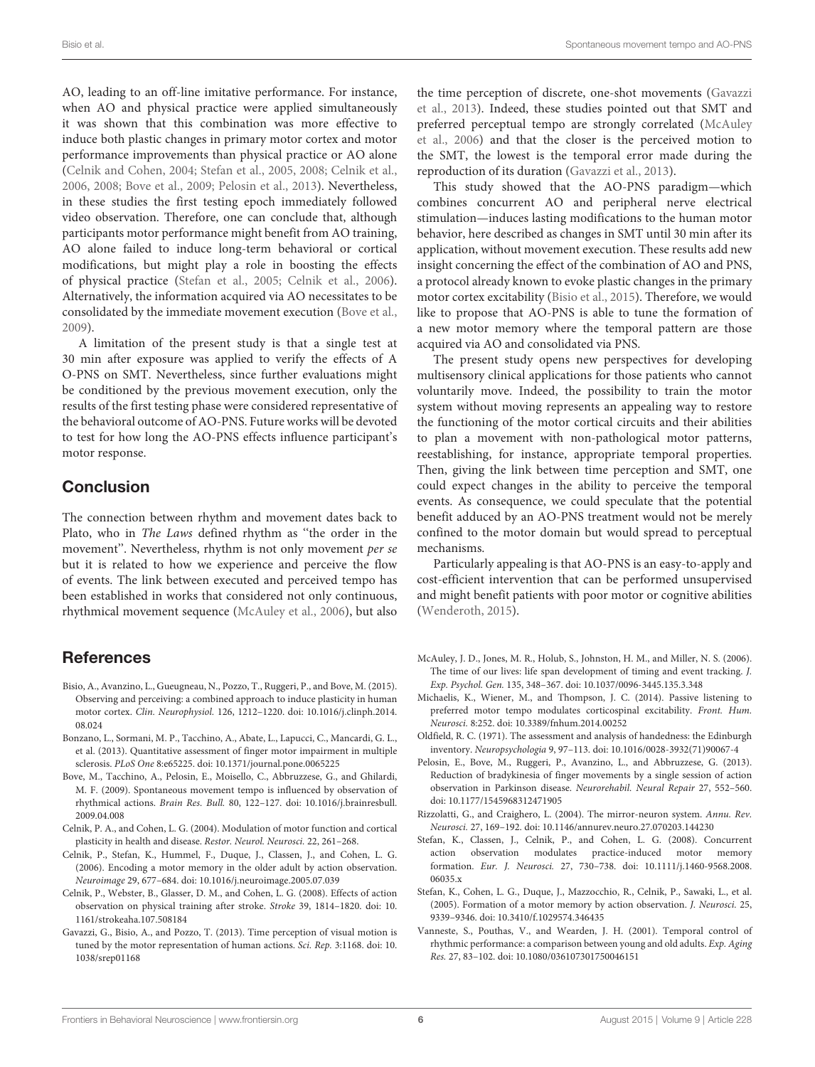AO, leading to an off-line imitative performance. For instance, when AO and physical practice were applied simultaneously it was shown that this combination was more effective to induce both plastic changes in primary motor cortex and motor performance improvements than physical practice or AO alone [\(Celnik and Cohen,](#page-5-9) [2004;](#page-5-9) [Stefan et al.,](#page-5-10) [2005,](#page-5-10) [2008;](#page-5-11) [Celnik et al.,](#page-5-12) [2006,](#page-5-12) [2008;](#page-5-13) [Bove et al.,](#page-5-3) [2009;](#page-5-3) [Pelosin et al.,](#page-5-7) [2013\)](#page-5-7). Nevertheless, in these studies the first testing epoch immediately followed video observation. Therefore, one can conclude that, although participants motor performance might benefit from AO training, AO alone failed to induce long-term behavioral or cortical modifications, but might play a role in boosting the effects of physical practice [\(Stefan et al.,](#page-5-10) [2005;](#page-5-10) [Celnik et al.,](#page-5-12) [2006\)](#page-5-12). Alternatively, the information acquired via AO necessitates to be consolidated by the immediate movement execution [\(Bove et al.,](#page-5-3) [2009\)](#page-5-3).

A limitation of the present study is that a single test at 30 min after exposure was applied to verify the effects of A O-PNS on SMT. Nevertheless, since further evaluations might be conditioned by the previous movement execution, only the results of the first testing phase were considered representative of the behavioral outcome of AO-PNS. Future works will be devoted to test for how long the AO-PNS effects influence participant's motor response.

# **Conclusion**

The connection between rhythm and movement dates back to Plato, who in The Laws defined rhythm as ''the order in the movement''. Nevertheless, rhythm is not only movement per se but it is related to how we experience and perceive the flow of events. The link between executed and perceived tempo has been established in works that considered not only continuous, rhythmical movement sequence [\(McAuley et al.,](#page-5-1) [2006\)](#page-5-1), but also

# **References**

- <span id="page-5-4"></span>Bisio, A., Avanzino, L., Gueugneau, N., Pozzo, T., Ruggeri, P., and Bove, M. (2015). Observing and perceiving: a combined approach to induce plasticity in human motor cortex. Clin. Neurophysiol. 126, 1212–1220. doi: 10.1016/j.clinph.2014. 08.024
- <span id="page-5-6"></span>Bonzano, L., Sormani, M. P., Tacchino, A., Abate, L., Lapucci, C., Mancardi, G. L., et al. (2013). Quantitative assessment of finger motor impairment in multiple sclerosis. PLoS One 8:e65225. doi: 10.1371/journal.pone.0065225
- <span id="page-5-3"></span>Bove, M., Tacchino, A., Pelosin, E., Moisello, C., Abbruzzese, G., and Ghilardi, M. F. (2009). Spontaneous movement tempo is influenced by observation of rhythmical actions. Brain Res. Bull. 80, 122–127. doi: 10.1016/j.brainresbull. 2009.04.008
- <span id="page-5-9"></span>Celnik, P. A., and Cohen, L. G. (2004). Modulation of motor function and cortical plasticity in health and disease. Restor. Neurol. Neurosci. 22, 261-268.
- <span id="page-5-12"></span>Celnik, P., Stefan, K., Hummel, F., Duque, J., Classen, J., and Cohen, L. G. (2006). Encoding a motor memory in the older adult by action observation. Neuroimage 29, 677–684. doi: 10.1016/j.neuroimage.2005.07.039
- <span id="page-5-13"></span>Celnik, P., Webster, B., Glasser, D. M., and Cohen, L. G. (2008). Effects of action observation on physical training after stroke. Stroke 39, 1814–1820. doi: 10. 1161/strokeaha.107.508184
- <span id="page-5-14"></span>Gavazzi, G., Bisio, A., and Pozzo, T. (2013). Time perception of visual motion is tuned by the motor representation of human actions. Sci. Rep. 3:1168. doi: 10. 1038/srep01168

the time perception of discrete, one-shot movements [\(Gavazzi](#page-5-14) [et al.,](#page-5-14) [2013\)](#page-5-14). Indeed, these studies pointed out that SMT and preferred perceptual tempo are strongly correlated [\(McAuley](#page-5-1) [et al.,](#page-5-1) [2006\)](#page-5-1) and that the closer is the perceived motion to the SMT, the lowest is the temporal error made during the reproduction of its duration [\(Gavazzi et al.,](#page-5-14) [2013\)](#page-5-14).

This study showed that the AO-PNS paradigm—which combines concurrent AO and peripheral nerve electrical stimulation—induces lasting modifications to the human motor behavior, here described as changes in SMT until 30 min after its application, without movement execution. These results add new insight concerning the effect of the combination of AO and PNS, a protocol already known to evoke plastic changes in the primary motor cortex excitability [\(Bisio et al.,](#page-5-4) [2015\)](#page-5-4). Therefore, we would like to propose that AO-PNS is able to tune the formation of a new motor memory where the temporal pattern are those acquired via AO and consolidated via PNS.

The present study opens new perspectives for developing multisensory clinical applications for those patients who cannot voluntarily move. Indeed, the possibility to train the motor system without moving represents an appealing way to restore the functioning of the motor cortical circuits and their abilities to plan a movement with non-pathological motor patterns, reestablishing, for instance, appropriate temporal properties. Then, giving the link between time perception and SMT, one could expect changes in the ability to perceive the temporal events. As consequence, we could speculate that the potential benefit adduced by an AO-PNS treatment would not be merely confined to the motor domain but would spread to perceptual mechanisms.

Particularly appealing is that AO-PNS is an easy-to-apply and cost-efficient intervention that can be performed unsupervised and might benefit patients with poor motor or cognitive abilities [\(Wenderoth,](#page-6-1) [2015\)](#page-6-1).

- <span id="page-5-1"></span>McAuley, J. D., Jones, M. R., Holub, S., Johnston, H. M., and Miller, N. S. (2006). The time of our lives: life span development of timing and event tracking. J. Exp. Psychol. Gen. 135, 348–367. doi: 10.1037/0096-3445.135.3.348
- <span id="page-5-2"></span>Michaelis, K., Wiener, M., and Thompson, J. C. (2014). Passive listening to preferred motor tempo modulates corticospinal excitability. Front. Hum. Neurosci. 8:252. doi: 10.3389/fnhum.2014.00252
- <span id="page-5-5"></span>Oldfield, R. C. (1971). The assessment and analysis of handedness: the Edinburgh inventory. Neuropsychologia 9, 97–113. doi: 10.1016/0028-3932(71)90067-4
- <span id="page-5-7"></span>Pelosin, E., Bove, M., Ruggeri, P., Avanzino, L., and Abbruzzese, G. (2013). Reduction of bradykinesia of finger movements by a single session of action observation in Parkinson disease. Neurorehabil. Neural Repair 27, 552–560. doi: 10.1177/1545968312471905
- <span id="page-5-8"></span>Rizzolatti, G., and Craighero, L. (2004). The mirror-neuron system. Annu. Rev. Neurosci. 27, 169–192. doi: 10.1146/annurev.neuro.27.070203.144230
- <span id="page-5-11"></span>Stefan, K., Classen, J., Celnik, P., and Cohen, L. G. (2008). Concurrent action observation modulates practice-induced motor memory formation. Eur. J. Neurosci. 27, 730–738. doi: 10.1111/j.1460-9568.2008. 06035.x
- <span id="page-5-10"></span>Stefan, K., Cohen, L. G., Duque, J., Mazzocchio, R., Celnik, P., Sawaki, L., et al. (2005). Formation of a motor memory by action observation. J. Neurosci. 25, 9339–9346. doi: 10.3410/f.1029574.346435
- <span id="page-5-0"></span>Vanneste, S., Pouthas, V., and Wearden, J. H. (2001). Temporal control of rhythmic performance: a comparison between young and old adults. Exp. Aging Res. 27, 83–102. doi: 10.1080/036107301750046151